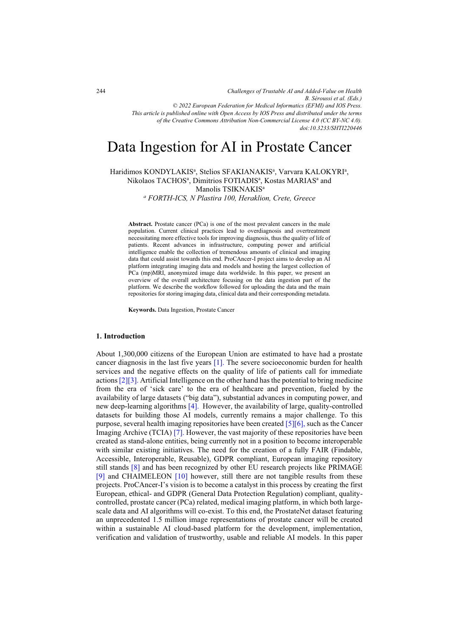*Challenges of Trustable AI and Added-Value on Health B. Séroussi et al. (Eds.) © 2022 European Federation for Medical Informatics (EFMI) and IOS Press. This article is published online with Open Access by IOS Press and distributed under the terms of the Creative Commons Attribution Non-Commercial License 4.0 (CC BY-NC 4.0). doi:10.3233/SHTI220446*

# Data Ingestion for AI in Prostate Cancer

Haridimos KONDYLAKIS<sup>a</sup>, Stelios SFAKIANAKIS<sup>a</sup>, Varvara KALOKYRI<sup>a</sup>, Nikolaos TACHOS<sup>a</sup>, Dimitrios FOTIADIS<sup>a</sup>, Kostas MARIAS<sup>a</sup> and Manolis TSIKNAKIS<sup>a</sup>

*a FORTH-ICS, N Plastira 100, Heraklion, Crete, Greece* 

**Abstract.** Prostate cancer (PCa) is one of the most prevalent cancers in the male population. Current clinical practices lead to overdiagnosis and overtreatment necessitating more effective tools for improving diagnosis, thus the quality of life of patients. Recent advances in infrastructure, computing power and artificial intelligence enable the collection of tremendous amounts of clinical and imaging data that could assist towards this end. ProCAncer-I project aims to develop an AI platform integrating imaging data and models and hosting the largest collection of PCa (mp)MRI, anonymized image data worldwide. In this paper, we present an overview of the overall architecture focusing on the data ingestion part of the platform. We describe the workflow followed for uploading the data and the main repositories for storing imaging data, clinical data and their corresponding metadata.

**Keywords.** Data Ingestion, Prostate Cancer

# **1. Introduction**

About 1,300,000 citizens of the European Union are estimated to have had a prostate cancer diagnosis in the last five years [\[1\].](#page-4-0) The severe socioeconomic burden for health services and the negative effects on the quality of life of patients call for immediate actions [\[2\]\[3\].](#page-4-0) Artificial Intelligence on the other hand has the potential to bring medicine from the era of 'sick care' to the era of healthcare and prevention, fueled by the availability of large datasets ("big data"), substantial advances in computing power, and new deep-learning algorithm[s \[4\].](#page-4-0) However, the availability of large, quality-controlled datasets for building those AI models, currently remains a major challenge. To this purpose, several health imaging repositories have been created [\[5\]\[6\],](#page-4-0) such as the Cancer Imaging Archive (TCIA) [\[7\].](#page-4-0) However, the vast majority of these repositories have been created as stand-alone entities, being currently not in a position to become interoperable with similar existing initiatives. The need for the creation of a fully FAIR (Findable, Accessible, Interoperable, Reusable), GDPR compliant, European imaging repository still stands [\[8\]](#page-4-0) and has been recognized by other EU research projects like PRIMAGE [\[9\]](#page-4-0) and CHAIMELEON [\[10\]](#page-4-0) however, still there are not tangible results from these projects. ProCAncer-I's vision is to become a catalyst in this process by creating the first European, ethical- and GDPR (General Data Protection Regulation) compliant, qualitycontrolled, prostate cancer (PCa) related, medical imaging platform, in which both largescale data and AI algorithms will co-exist. To this end, the ProstateNet dataset featuring an unprecedented 1.5 million image representations of prostate cancer will be created within a sustainable AI cloud-based platform for the development, implementation, verification and validation of trustworthy, usable and reliable AI models. In this paper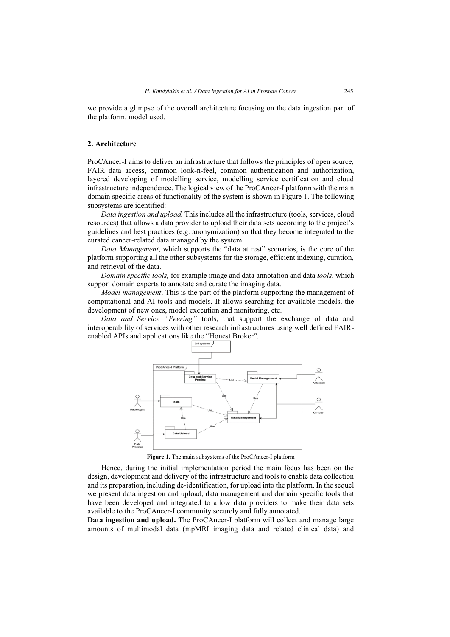we provide a glimpse of the overall architecture focusing on the data ingestion part of the platform. model used.

# **2. Architecture**

ProCAncer-I aims to deliver an infrastructure that follows the principles of open source, FAIR data access, common look-n-feel, common authentication and authorization, layered developing of modelling service, modelling service certification and cloud infrastructure independence. The logical view of the ProCAncer-I platform with the main domain specific areas of functionality of the system is shown in Figure 1. The following subsystems are identified:

*Data ingestion and upload.* This includes all the infrastructure (tools, services, cloud resources) that allows a data provider to upload their data sets according to the project's guidelines and best practices (e.g. anonymization) so that they become integrated to the curated cancer-related data managed by the system.

*Data Management*, which supports the "data at rest" scenarios, is the core of the platform supporting all the other subsystems for the storage, efficient indexing, curation, and retrieval of the data.

*Domain specific tools,* for example image and data annotation and data *tools*, which support domain experts to annotate and curate the imaging data.

*Model management*. This is the part of the platform supporting the management of computational and AI tools and models. It allows searching for available models, the development of new ones, model execution and monitoring, etc.

*Data and Service "Peering"* tools, that support the exchange of data and interoperability of services with other research infrastructures using well defined FAIRenabled APIs and applications like the "Honest Broker".



**Figure 1.** The main subsystems of the ProCAncer-I platform

Hence, during the initial implementation period the main focus has been on the design, development and delivery of the infrastructure and tools to enable data collection and its preparation, including de-identification, for upload into the platform. In the sequel we present data ingestion and upload, data management and domain specific tools that have been developed and integrated to allow data providers to make their data sets available to the ProCAncer-I community securely and fully annotated.

**Data ingestion and upload.** The ProCAncer-I platform will collect and manage large amounts of multimodal data (mpMRI imaging data and related clinical data) and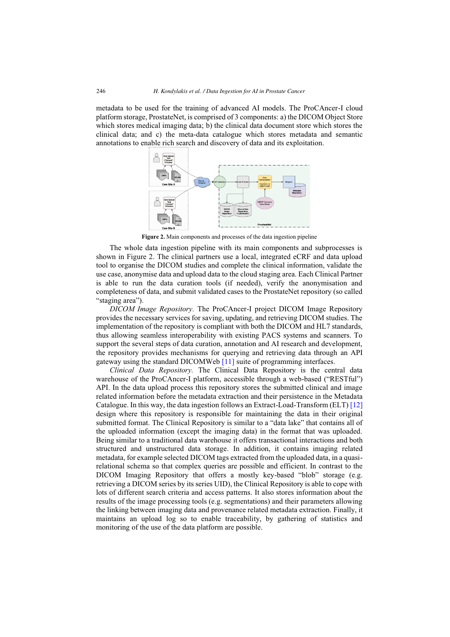metadata to be used for the training of advanced AI models. The ProCAncer-I cloud platform storage, ProstateNet, is comprised of 3 components: a) the DICOM Object Store which stores medical imaging data; b) the clinical data document store which stores the clinical data; and c) the meta-data catalogue which stores metadata and semantic annotations to enable rich search and discovery of data and its exploitation.



**Figure 2.** Main components and processes of the data ingestion pipeline

The whole data ingestion pipeline with its main components and subprocesses is shown in Figure 2. The clinical partners use a local, integrated eCRF and data upload tool to organise the DICOM studies and complete the clinical information, validate the use case, anonymise data and upload data to the cloud staging area. Each Clinical Partner is able to run the data curation tools (if needed), verify the anonymisation and completeness of data, and submit validated cases to the ProstateNet repository (so called "staging area").

*DICOM Image Repository.* The ProCAncer-I project DICOM Image Repository provides the necessary services for saving, updating, and retrieving DICOM studies. The implementation of the repository is compliant with both the DICOM and HL7 standards, thus allowing seamless interoperability with existing PACS systems and scanners. To support the several steps of data curation, annotation and AI research and development, the repository provides mechanisms for querying and retrieving data through an API gateway using the standard DICOMWeb [\[11\]](#page-4-0) suite of programming interfaces.

*Clinical Data Repository.* The Clinical Data Repository is the central data warehouse of the ProCAncer-I platform, accessible through a web-based ("RESTful") API. In the data upload process this repository stores the submitted clinical and image related information before the metadata extraction and their persistence in the Metadata Catalogue. In this way, the data ingestion follows an Extract-Load-Transform (ELT[\) \[12\]](#page-4-0)  design where this repository is responsible for maintaining the data in their original submitted format. The Clinical Repository is similar to a "data lake" that contains all of the uploaded information (except the imaging data) in the format that was uploaded. Being similar to a traditional data warehouse it offers transactional interactions and both structured and unstructured data storage. In addition, it contains imaging related metadata, for example selected DICOM tags extracted from the uploaded data, in a quasirelational schema so that complex queries are possible and efficient. In contrast to the DICOM Imaging Repository that offers a mostly key-based "blob" storage (e.g. retrieving a DICOM series by its series UID), the Clinical Repository is able to cope with lots of different search criteria and access patterns. It also stores information about the results of the image processing tools (e.g. segmentations) and their parameters allowing the linking between imaging data and provenance related metadata extraction. Finally, it maintains an upload log so to enable traceability, by gathering of statistics and monitoring of the use of the data platform are possible.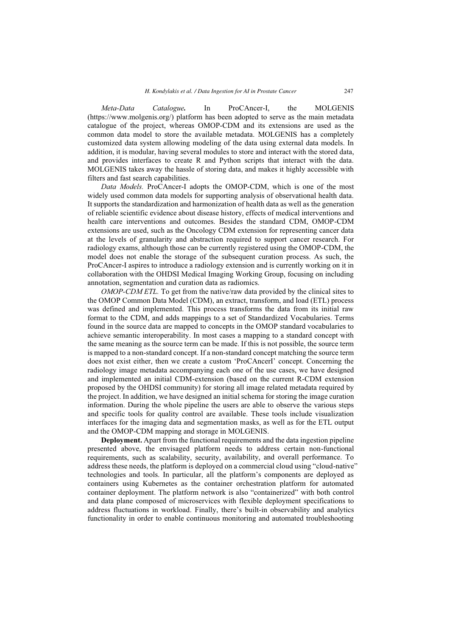*Meta-Data Catalogue.* In ProCAncer-I, the MOLGENIS (https://www.molgenis.org/) platform has been adopted to serve as the main metadata catalogue of the project, whereas OMOP-CDM and its extensions are used as the common data model to store the available metadata. MOLGENIS has a completely customized data system allowing modeling of the data using external data models. In addition, it is modular, having several modules to store and interact with the stored data, and provides interfaces to create R and Python scripts that interact with the data. MOLGENIS takes away the hassle of storing data, and makes it highly accessible with filters and fast search capabilities.

*Data Models.* ProCAncer-I adopts the OMOP-CDM, which is one of the most widely used common data models for supporting analysis of observational health data. It supports the standardization and harmonization of health data as well as the generation of reliable scientific evidence about disease history, effects of medical interventions and health care interventions and outcomes. Besides the standard CDM, OMOP-CDM extensions are used, such as the Oncology CDM extension for representing cancer data at the levels of granularity and abstraction required to support cancer research. For radiology exams, although those can be currently registered using the OMOP-CDM, the model does not enable the storage of the subsequent curation process. As such, the ProCAncer-I aspires to introduce a radiology extension and is currently working on it in collaboration with the OHDSI Medical Imaging Working Group, focusing on including annotation, segmentation and curation data as radiomics.

*OMOP-CDM ETL*. To get from the native/raw data provided by the clinical sites to the OMOP Common Data Model (CDM), an extract, transform, and load (ETL) process was defined and implemented. This process transforms the data from its initial raw format to the CDM, and adds mappings to a set of Standardized Vocabularies. Terms found in the source data are mapped to concepts in the OMOP standard vocabularies to achieve semantic interoperability. In most cases a mapping to a standard concept with the same meaning as the source term can be made. If this is not possible, the source term is mapped to a non-standard concept. If a non-standard concept matching the source term does not exist either, then we create a custom 'ProCAncerI' concept. Concerning the radiology image metadata accompanying each one of the use cases, we have designed and implemented an initial CDM-extension (based on the current R-CDM extension proposed by the OHDSI community) for storing all image related metadata required by the project. In addition, we have designed an initial schema for storing the image curation information. During the whole pipeline the users are able to observe the various steps and specific tools for quality control are available. These tools include visualization interfaces for the imaging data and segmentation masks, as well as for the ETL output and the OMOP-CDM mapping and storage in MOLGENIS.

**Deployment.** Apart from the functional requirements and the data ingestion pipeline presented above, the envisaged platform needs to address certain non-functional requirements, such as scalability, security, availability, and overall performance. To address these needs, the platform is deployed on a commercial cloud using "cloud-native" technologies and tools. In particular, all the platform's components are deployed as containers using Kubernetes as the container orchestration platform for automated container deployment. The platform network is also "containerized" with both control and data plane composed of microservices with flexible deployment specifications to address fluctuations in workload. Finally, there's built-in observability and analytics functionality in order to enable continuous monitoring and automated troubleshooting